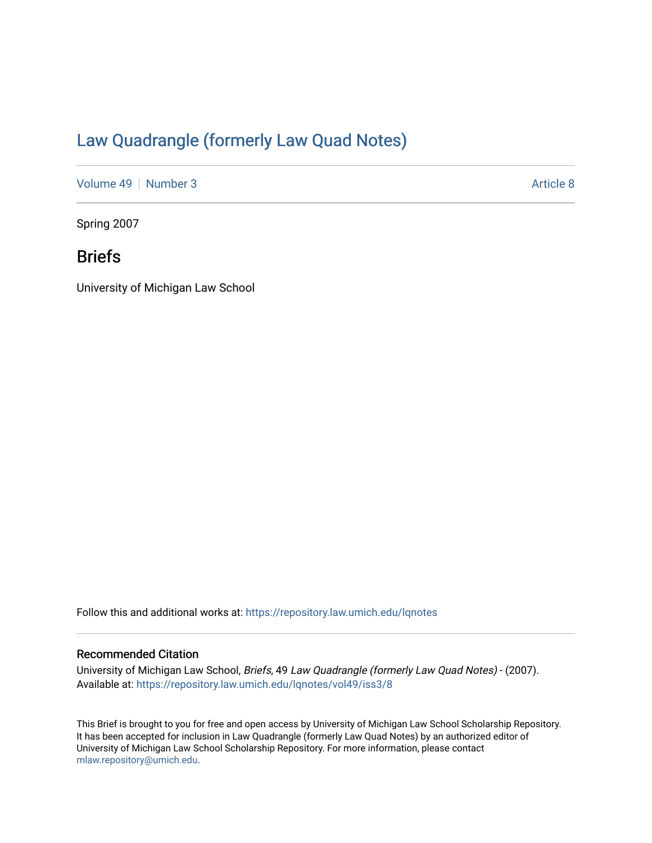# [Law Quadrangle \(formerly Law Quad Notes\)](https://repository.law.umich.edu/lqnotes)

[Volume 49](https://repository.law.umich.edu/lqnotes/vol49) [Number 3](https://repository.law.umich.edu/lqnotes/vol49/iss3) Article 8

Spring 2007

# Briefs

University of Michigan Law School

Follow this and additional works at: [https://repository.law.umich.edu/lqnotes](https://repository.law.umich.edu/lqnotes?utm_source=repository.law.umich.edu%2Flqnotes%2Fvol49%2Fiss3%2F8&utm_medium=PDF&utm_campaign=PDFCoverPages) 

#### Recommended Citation

University of Michigan Law School, Briefs, 49 Law Quadrangle (formerly Law Quad Notes) - (2007). Available at: [https://repository.law.umich.edu/lqnotes/vol49/iss3/8](https://repository.law.umich.edu/lqnotes/vol49/iss3/8?utm_source=repository.law.umich.edu%2Flqnotes%2Fvol49%2Fiss3%2F8&utm_medium=PDF&utm_campaign=PDFCoverPages) 

This Brief is brought to you for free and open access by University of Michigan Law School Scholarship Repository. It has been accepted for inclusion in Law Quadrangle (formerly Law Quad Notes) by an authorized editor of University of Michigan Law School Scholarship Repository. For more information, please contact [mlaw.repository@umich.edu.](mailto:mlaw.repository@umich.edu)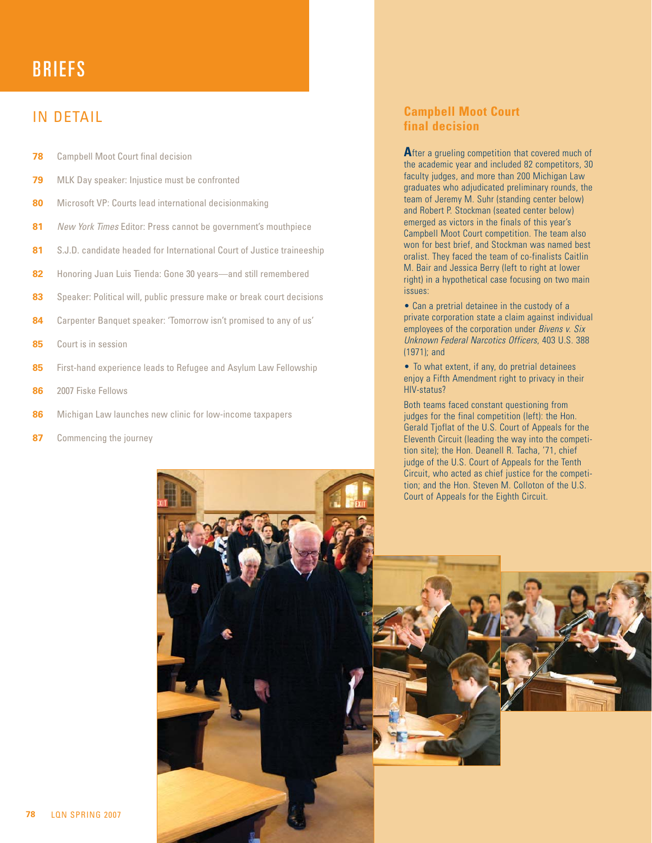# BRIEFS

### IN DETAIL

- **78** Campbell Moot Court final decision
- **79** MLK Day speaker: Injustice must be confronted
- **80** Microsoft VP: Courts lead international decisionmaking
- 81 New York Times Editor: Press cannot be government's mouthpiece
- **81** S.J.D. candidate headed for International Court of Justice traineeship
- **82** Honoring Juan Luis Tienda: Gone 30 years—and still remembered
- **83** Speaker: Political will, public pressure make or break court decisions
- **84** Carpenter Banquet speaker: 'Tomorrow isn't promised to any of us'
- **85** Court is in session
- **85** First-hand experience leads to Refugee and Asylum Law Fellowship
- **86** 2007 Fiske Fellows
- **86** Michigan Law launches new clinic for low-income taxpapers
- **87** Commencing the journey

#### **Campbell Moot Court final decision**

After a grueling competition that covered much of the academic year and included 82 competitors, 30 faculty judges, and more than 200 Michigan Law graduates who adjudicated preliminary rounds, the team of Jeremy M. Suhr (standing center below) and Robert P. Stockman (seated center below) emerged as victors in the finals of this year's Campbell Moot Court competition. The team also won for best brief, and Stockman was named best oralist. They faced the team of co-finalists Caitlin M. Bair and Jessica Berry (left to right at lower right) in a hypothetical case focusing on two main issues:

• Can a pretrial detainee in the custody of a private corporation state a claim against individual employees of the corporation under Bivens v. Six Unknown Federal Narcotics Officers, 403 U.S. 388 (1971); and

• To what extent, if any, do pretrial detainees enjoy a Fifth Amendment right to privacy in their HIV-status?

Both teams faced constant questioning from judges for the final competition (left): the Hon. Gerald Tjoflat of the U.S. Court of Appeals for the Eleventh Circuit (leading the way into the competition site); the Hon. Deanell R. Tacha, '71, chief judge of the U.S. Court of Appeals for the Tenth Circuit, who acted as chief justice for the competition; and the Hon. Steven M. Colloton of the U.S.

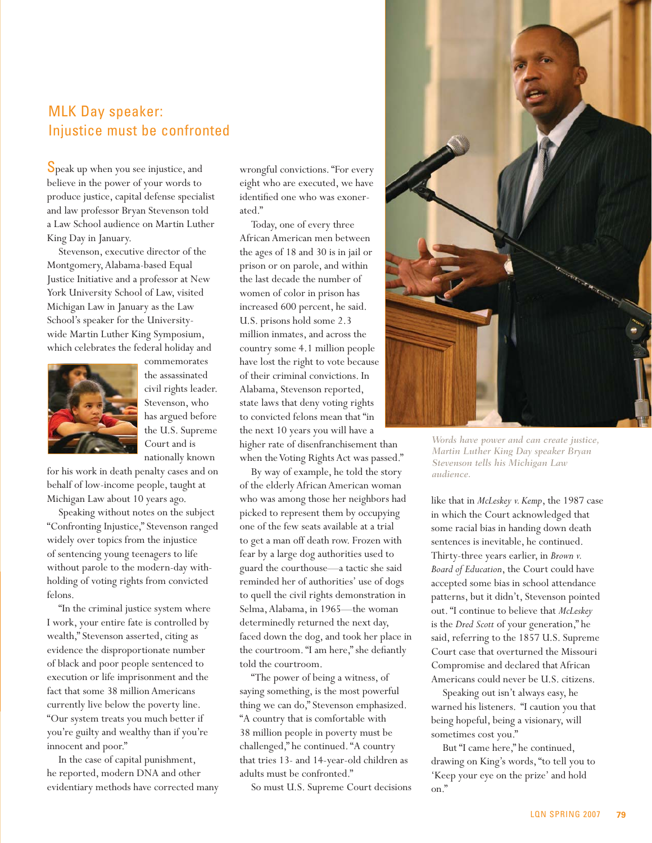### MLK Day speaker: Injustice must be confronted

Speak up when you see injustice, and believe in the power of your words to produce justice, capital defense specialist and law professor Bryan Stevenson told a Law School audience on Martin Luther King Day in January.

Stevenson, executive director of the Montgomery, Alabama-based Equal Justice Initiative and a professor at New York University School of Law, visited Michigan Law in January as the Law School's speaker for the Universitywide Martin Luther King Symposium, which celebrates the federal holiday and



commemorates the assassinated civil rights leader. Stevenson, who has argued before the U.S. Supreme Court and is nationally known

for his work in death penalty cases and on behalf of low-income people, taught at Michigan Law about 10 years ago.

Speaking without notes on the subject "Confronting Injustice," Stevenson ranged widely over topics from the injustice of sentencing young teenagers to life without parole to the modern-day withholding of voting rights from convicted felons.

"In the criminal justice system where I work, your entire fate is controlled by wealth," Stevenson asserted, citing as evidence the disproportionate number of black and poor people sentenced to execution or life imprisonment and the fact that some 38 million Americans currently live below the poverty line. "Our system treats you much better if you're guilty and wealthy than if you're innocent and poor."

In the case of capital punishment, he reported, modern DNA and other evidentiary methods have corrected many wrongful convictions. "For every eight who are executed, we have identified one who was exonerated."

Today, one of every three African American men between the ages of 18 and 30 is in jail or prison or on parole, and within the last decade the number of women of color in prison has increased 600 percent, he said. U.S. prisons hold some 2.3 million inmates, and across the country some 4.1 million people have lost the right to vote because of their criminal convictions. In Alabama, Stevenson reported, state laws that deny voting rights to convicted felons mean that "in the next 10 years you will have a higher rate of disenfranchisement than when the Voting Rights Act was passed."

By way of example, he told the story of the elderly African American woman who was among those her neighbors had picked to represent them by occupying one of the few seats available at a trial to get a man off death row. Frozen with fear by a large dog authorities used to guard the courthouse—a tactic she said reminded her of authorities' use of dogs to quell the civil rights demonstration in Selma, Alabama, in 1965—the woman determinedly returned the next day, faced down the dog, and took her place in the courtroom. "I am here," she defiantly told the courtroom.

"The power of being a witness, of saying something, is the most powerful thing we can do," Stevenson emphasized. "A country that is comfortable with 38 million people in poverty must be challenged," he continued. "A country that tries 13- and 14-year-old children as adults must be confronted."

So must U.S. Supreme Court decisions



*Words have power and can create justice, Martin Luther King Day speaker Bryan Stevenson tells his Michigan Law audience.*

like that in *McLeskey v. Kemp*, the 1987 case in which the Court acknowledged that some racial bias in handing down death sentences is inevitable, he continued. Thirty-three years earlier, in *Brown v. Board of Education*, the Court could have accepted some bias in school attendance patterns, but it didn't, Stevenson pointed out. "I continue to believe that *McLeskey* is the *Dred Scott* of your generation," he said, referring to the 1857 U.S. Supreme Court case that overturned the Missouri Compromise and declared that African Americans could never be U.S. citizens.

Speaking out isn't always easy, he warned his listeners. "I caution you that being hopeful, being a visionary, will sometimes cost you."

But "I came here," he continued, drawing on King's words, "to tell you to 'Keep your eye on the prize' and hold on."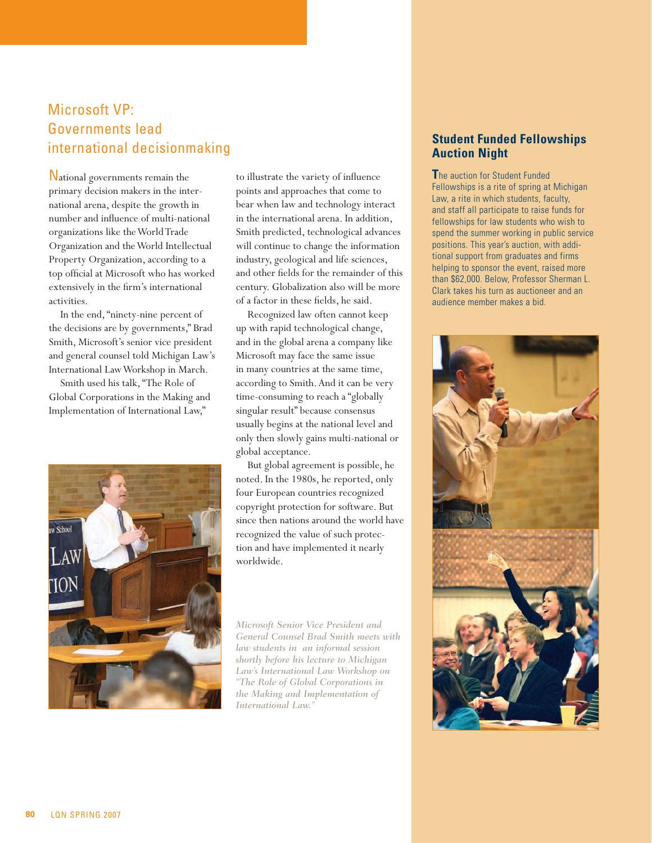# Microsoft VP: Governments lead international decisionmaking

National governments remain the primary decision makers in the international arena, despite the growth in number and influence of multi-national organizations like the World Trade Organization and the World Intellectual Property Organization, according to a top official at Microsoft who has worked extensively in the firm's international activities.

In the end, "ninety-nine percent of the decisions are by governments," Brad Smith, Microsoft's senior vice president and general counsel told Michigan Law's International Law Workshop in March.

Smith used his talk, "The Role of Global Corporations in the Making and Implementation of International Law,"



to illustrate the variety of influence points and approaches that come to bear when law and technology interact in the international arena. In addition, Smith predicted, technological advances will continue to change the information industry, geological and life sciences, and other fields for the remainder of this century. Globalization also will be more of a factor in these fields, he said.

Recognized law often cannot keep up with rapid technological change, and in the global arena a company like Microsoft may face the same issue in many countries at the same time, according to Smith. And it can be very time-consuming to reach a "globally singular result" because consensus usually begins at the national level and only then slowly gains multi-national or global acceptance.

But global agreement is possible, he noted. In the 1980s, he reported, only four European countries recognized copyright protection for software. But since then nations around the world have recognized the value of such protection and have implemented it nearly worldwide.

*Microsoft Senior Vice President and General Counsel Brad Smith meets with law students in an informal session shortly before his lecture to Michigan Law's International Law Workshop on "The Role of Global Corporations in the Making and Implementation of International Law."*

#### **Student Funded Fellowships Auction Night**

**T**he auction for Student Funded Fellowships is a rite of spring at Michigan Law, a rite in which students, faculty, and staff all participate to raise funds for fellowships for law students who wish to spend the summer working in public service positions. This year's auction, with additional support from graduates and firms helping to sponsor the event, raised more than \$62,000. Below, Professor Sherman L. Clark takes his turn as auctioneer and an audience member makes a bid.

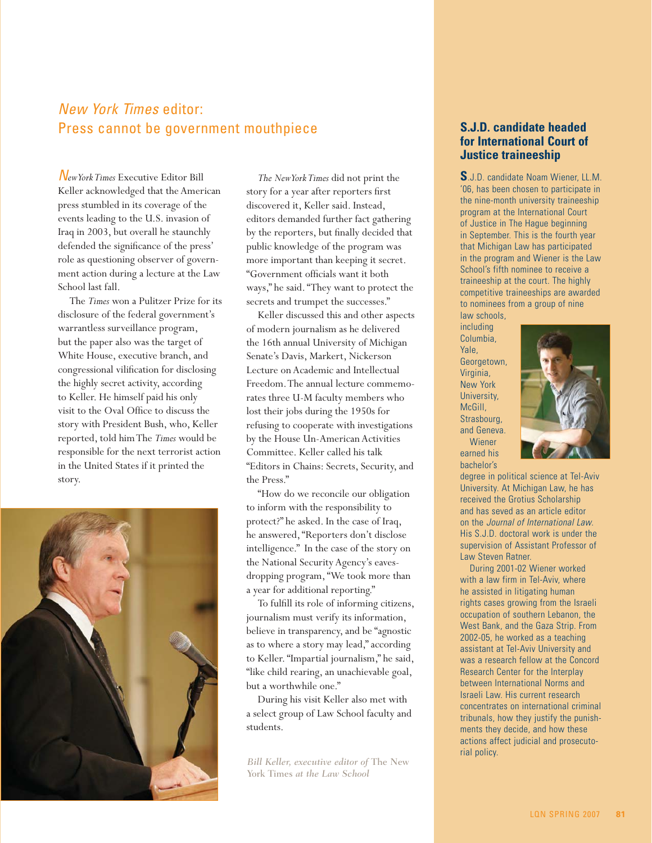### New York Times editor: Press cannot be government mouthpiece

N*ew York Times* Executive Editor Bill Keller acknowledged that the American press stumbled in its coverage of the events leading to the U.S. invasion of Iraq in 2003, but overall he staunchly defended the significance of the press' role as questioning observer of government action during a lecture at the Law School last fall.

The *Times* won a Pulitzer Prize for its disclosure of the federal government's warrantless surveillance program, but the paper also was the target of White House, executive branch, and congressional vilification for disclosing the highly secret activity, according to Keller. He himself paid his only visit to the Oval Office to discuss the story with President Bush, who, Keller reported, told him The *Times* would be responsible for the next terrorist action in the United States if it printed the story.



*The New York Times* did not print the story for a year after reporters first discovered it, Keller said. Instead, editors demanded further fact gathering by the reporters, but finally decided that public knowledge of the program was more important than keeping it secret. "Government officials want it both ways," he said. "They want to protect the secrets and trumpet the successes."

Keller discussed this and other aspects of modern journalism as he delivered the 16th annual University of Michigan Senate's Davis, Markert, Nickerson Lecture on Academic and Intellectual Freedom. The annual lecture commemorates three U-M faculty members who lost their jobs during the 1950s for refusing to cooperate with investigations by the House Un-American Activities Committee. Keller called his talk "Editors in Chains: Secrets, Security, and the Press."

"How do we reconcile our obligation to inform with the responsibility to protect?" he asked. In the case of Iraq, he answered, "Reporters don't disclose intelligence." In the case of the story on the National Security Agency's eavesdropping program, "We took more than a year for additional reporting."

To fulfill its role of informing citizens, journalism must verify its information, believe in transparency, and be "agnostic as to where a story may lead," according to Keller. "Impartial journalism," he said, "like child rearing, an unachievable goal, but a worthwhile one."

During his visit Keller also met with a select group of Law School faculty and students.

*Bill Keller, executive editor of* The New York Times *at the Law School*

#### **S.J.D. candidate headed for International Court of Justice traineeship**

**S**.J.D. candidate Noam Wiener, LL.M. '06, has been chosen to participate in the nine-month university traineeship program at the International Court of Justice in The Hague beginning in September. This is the fourth year that Michigan Law has participated in the program and Wiener is the Law School's fifth nominee to receive a traineeship at the court. The highly competitive traineeships are awarded to nominees from a group of nine law schools,

including Columbia, Yale, Georgetown, Virginia, New York University, McGill, Strasbourg, and Geneva. Wiener earned his

bachelor's



degree in political science at Tel-Aviv University. At Michigan Law, he has received the Grotius Scholarship and has seved as an article editor on the Journal of International Law. His S.J.D. doctoral work is under the supervision of Assistant Professor of Law Steven Ratner.

During 2001-02 Wiener worked with a law firm in Tel-Aviv, where he assisted in litigating human rights cases growing from the Israeli occupation of southern Lebanon, the West Bank, and the Gaza Strip. From 2002-05, he worked as a teaching assistant at Tel-Aviv University and was a research fellow at the Concord Research Center for the Interplay between International Norms and Israeli Law. His current research concentrates on international criminal tribunals, how they justify the punishments they decide, and how these actions affect judicial and prosecutorial policy.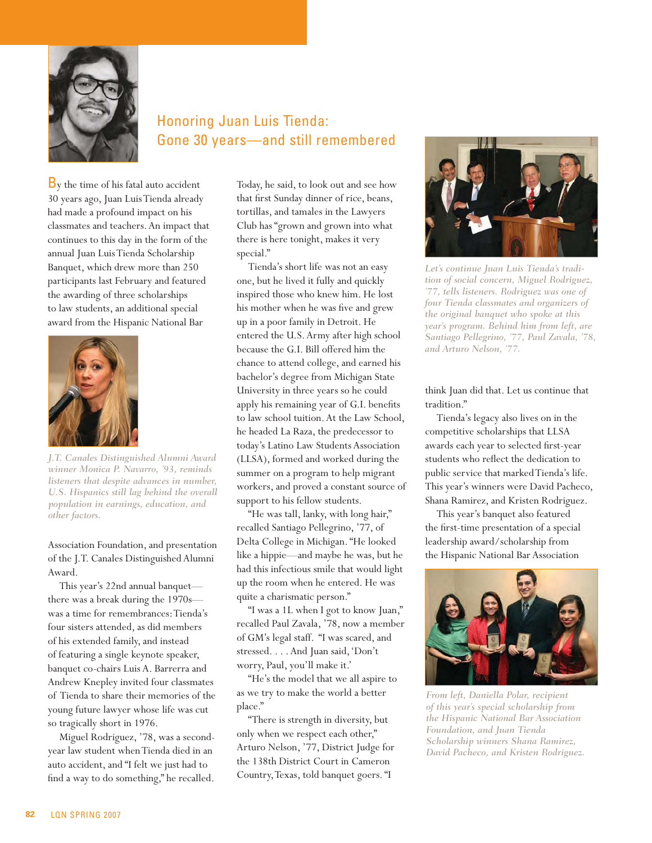

# Honoring Juan Luis Tienda: Gone 30 years—and still remembered

By the time of his fatal auto accident 30 years ago, Juan Luis Tienda already had made a profound impact on his classmates and teachers. An impact that continues to this day in the form of the annual Juan Luis Tienda Scholarship Banquet, which drew more than 250 participants last February and featured the awarding of three scholarships to law students, an additional special award from the Hispanic National Bar



*J.T. Canales Distinguished Alumni Award winner Monica P. Navarro, '93, reminds listeners that despite advances in number, U.S. Hispanics still lag behind the overall population in earnings, education, and other factors.*

Association Foundation, and presentation of the J.T. Canales Distinguished Alumni Award.

This year's 22nd annual banquet there was a break during the 1970s was a time for remembrances: Tienda's four sisters attended, as did members of his extended family, and instead of featuring a single keynote speaker, banquet co-chairs Luis A. Barrerra and Andrew Knepley invited four classmates of Tienda to share their memories of the young future lawyer whose life was cut so tragically short in 1976.

Miguel Rodriguez, '78, was a secondyear law student when Tienda died in an auto accident, and "I felt we just had to find a way to do something," he recalled.

Today, he said, to look out and see how that first Sunday dinner of rice, beans, tortillas, and tamales in the Lawyers Club has "grown and grown into what there is here tonight, makes it very special."

Tienda's short life was not an easy one, but he lived it fully and quickly inspired those who knew him. He lost his mother when he was five and grew up in a poor family in Detroit. He entered the U.S. Army after high school because the G.I. Bill offered him the chance to attend college, and earned his bachelor's degree from Michigan State University in three years so he could apply his remaining year of G.I. benefits to law school tuition. At the Law School, he headed La Raza, the predecessor to today's Latino Law Students Association (LLSA), formed and worked during the summer on a program to help migrant workers, and proved a constant source of support to his fellow students.

"He was tall, lanky, with long hair," recalled Santiago Pellegrino, '77, of Delta College in Michigan. "He looked like a hippie—and maybe he was, but he had this infectious smile that would light up the room when he entered. He was quite a charismatic person."

"I was a 1L when I got to know Juan," recalled Paul Zavala, '78, now a member of GM's legal staff. "I was scared, and stressed. . . . And Juan said, 'Don't worry, Paul, you'll make it.'

"He's the model that we all aspire to as we try to make the world a better place."

"There is strength in diversity, but only when we respect each other," Arturo Nelson, '77, District Judge for the 138th District Court in Cameron Country, Texas, told banquet goers. "I



*Let's continue Juan Luis Tienda's tradition of social concern, Miguel Rodriguez, '77, tells listeners. Rodriguez was one of four Tienda classmates and organizers of the original banquet who spoke at this year's program. Behind him from left, are Santiago Pellegrino, '77, Paul Zavala, '78, and Arturo Nelson, '77.*

think Juan did that. Let us continue that tradition."

Tienda's legacy also lives on in the competitive scholarships that LLSA awards each year to selected first-year students who reflect the dedication to public service that marked Tienda's life. This year's winners were David Pacheco, Shana Ramirez, and Kristen Rodriguez.

This year's banquet also featured the first-time presentation of a special leadership award/scholarship from the Hispanic National Bar Association



*From left, Daniella Polar, recipient of this year's special scholarship from the Hispanic National Bar Association Foundation, and Juan Tienda Scholarship winners Shana Ramirez, David Pacheco, and Kristen Rodriguez.*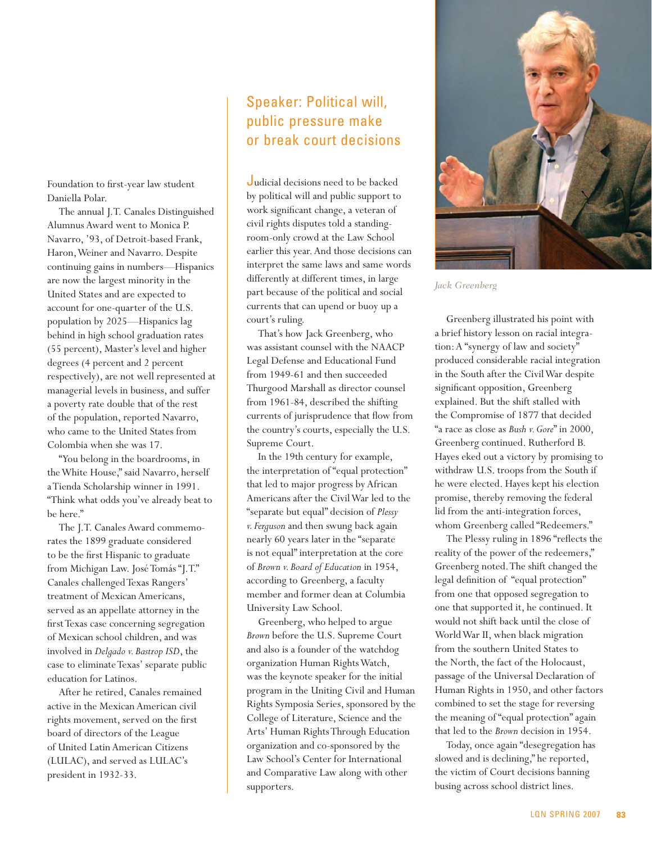Foundation to first-year law student Daniella Polar.

The annual J.T. Canales Distinguished Alumnus Award went to Monica P. Navarro, '93, of Detroit-based Frank, Haron, Weiner and Navarro. Despite continuing gains in numbers—Hispanics are now the largest minority in the United States and are expected to account for one-quarter of the U.S. population by 2025—Hispanics lag behind in high school graduation rates (55 percent), Master's level and higher degrees (4 percent and 2 percent respectively), are not well represented at managerial levels in business, and suffer a poverty rate double that of the rest of the population, reported Navarro, who came to the United States from Colombia when she was 17.

"You belong in the boardrooms, in the White House," said Navarro, herself a Tienda Scholarship winner in 1991. "Think what odds you've already beat to be here."

The J.T. Canales Award commemorates the 1899 graduate considered to be the first Hispanic to graduate from Michigan Law. José Tomás "J.T." Canales challenged Texas Rangers' treatment of Mexican Americans, served as an appellate attorney in the first Texas case concerning segregation of Mexican school children, and was involved in *Delgado v. Bastrop ISD*, the case to eliminate Texas' separate public education for Latinos.

After he retired, Canales remained active in the Mexican American civil rights movement, served on the first board of directors of the League of United Latin American Citizens (LULAC), and served as LULAC's president in 1932-33.

# Speaker: Political will, public pressure make or break court decisions

Judicial decisions need to be backed by political will and public support to work significant change, a veteran of civil rights disputes told a standingroom-only crowd at the Law School earlier this year. And those decisions can interpret the same laws and same words differently at different times, in large part because of the political and social currents that can upend or buoy up a court's ruling.

That's how Jack Greenberg, who was assistant counsel with the NAACP Legal Defense and Educational Fund from 1949-61 and then succeeded Thurgood Marshall as director counsel from 1961-84, described the shifting currents of jurisprudence that flow from the country's courts, especially the U.S. Supreme Court.

In the 19th century for example, the interpretation of "equal protection" that led to major progress by African Americans after the Civil War led to the "separate but equal" decision of *Plessy v. Ferguson* and then swung back again nearly 60 years later in the "separate is not equal" interpretation at the core of *Brown v. Board of Education* in 1954, according to Greenberg, a faculty member and former dean at Columbia University Law School.

Greenberg, who helped to argue *Brown* before the U.S. Supreme Court and also is a founder of the watchdog organization Human Rights Watch, was the keynote speaker for the initial program in the Uniting Civil and Human Rights Symposia Series, sponsored by the College of Literature, Science and the Arts' Human Rights Through Education organization and co-sponsored by the Law School's Center for International and Comparative Law along with other supporters.



*Jack Greenberg*

Greenberg illustrated his point with a brief history lesson on racial integration: A "synergy of law and society" produced considerable racial integration in the South after the Civil War despite significant opposition, Greenberg explained. But the shift stalled with the Compromise of 1877 that decided "a race as close as *Bush v. Gore*" in 2000, Greenberg continued. Rutherford B. Hayes eked out a victory by promising to withdraw U.S. troops from the South if he were elected. Hayes kept his election promise, thereby removing the federal lid from the anti-integration forces, whom Greenberg called "Redeemers."

The Plessy ruling in 1896 "reflects the reality of the power of the redeemers," Greenberg noted. The shift changed the legal definition of "equal protection" from one that opposed segregation to one that supported it, he continued. It would not shift back until the close of World War II, when black migration from the southern United States to the North, the fact of the Holocaust, passage of the Universal Declaration of Human Rights in 1950, and other factors combined to set the stage for reversing the meaning of "equal protection" again that led to the *Brown* decision in 1954.

Today, once again "desegregation has slowed and is declining," he reported, the victim of Court decisions banning busing across school district lines.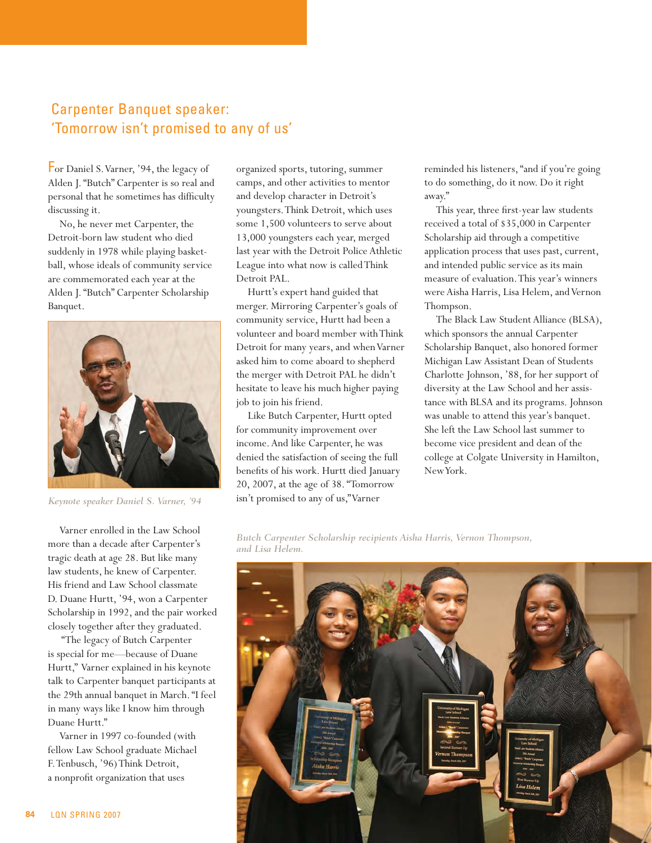# Carpenter Banquet speaker: 'Tomorrow isn't promised to any of us'

For Daniel S. Varner, '94, the legacy of Alden J. "Butch" Carpenter is so real and personal that he sometimes has difficulty discussing it.

No, he never met Carpenter, the Detroit-born law student who died suddenly in 1978 while playing basketball, whose ideals of community service are commemorated each year at the Alden J. "Butch" Carpenter Scholarship Banquet.



*Keynote speaker Daniel S. Varner, '94*

Varner enrolled in the Law School more than a decade after Carpenter's tragic death at age 28. But like many law students, he knew of Carpenter. His friend and Law School classmate D. Duane Hurtt, '94, won a Carpenter Scholarship in 1992, and the pair worked closely together after they graduated.

 "The legacy of Butch Carpenter is special for me—because of Duane Hurtt," Varner explained in his keynote talk to Carpenter banquet participants at the 29th annual banquet in March. "I feel in many ways like I know him through Duane Hurtt."

Varner in 1997 co-founded (with fellow Law School graduate Michael F. Tenbusch, '96) Think Detroit, a nonprofit organization that uses

organized sports, tutoring, summer camps, and other activities to mentor and develop character in Detroit's youngsters. Think Detroit, which uses some 1,500 volunteers to serve about 13,000 youngsters each year, merged last year with the Detroit Police Athletic League into what now is called Think Detroit PAL.

Hurtt's expert hand guided that merger. Mirroring Carpenter's goals of community service, Hurtt had been a volunteer and board member with Think Detroit for many years, and when Varner asked him to come aboard to shepherd the merger with Detroit PAL he didn't hesitate to leave his much higher paying job to join his friend.

Like Butch Carpenter, Hurtt opted for community improvement over income. And like Carpenter, he was denied the satisfaction of seeing the full benefits of his work. Hurtt died January 20, 2007, at the age of 38. "Tomorrow isn't promised to any of us," Varner

reminded his listeners, "and if you're going to do something, do it now. Do it right away."

This year, three first-year law students received a total of \$35,000 in Carpenter Scholarship aid through a competitive application process that uses past, current, and intended public service as its main measure of evaluation. This year's winners were Aisha Harris, Lisa Helem, and Vernon Thompson.

The Black Law Student Alliance (BLSA), which sponsors the annual Carpenter Scholarship Banquet, also honored former Michigan Law Assistant Dean of Students Charlotte Johnson, '88, for her support of diversity at the Law School and her assistance with BLSA and its programs. Johnson was unable to attend this year's banquet. She left the Law School last summer to become vice president and dean of the college at Colgate University in Hamilton, New York.

*Butch Carpenter Scholarship recipients Aisha Harris, Vernon Thompson, and Lisa Helem.*

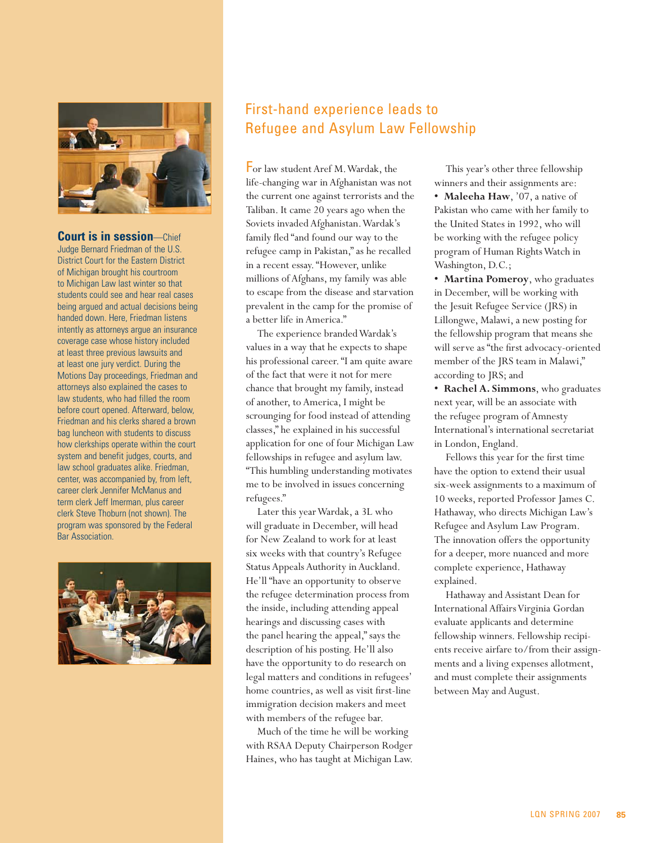

#### **Court is in session**—Chief

Judge Bernard Friedman of the U.S. District Court for the Eastern District of Michigan brought his courtroom to Michigan Law last winter so that students could see and hear real cases being argued and actual decisions being handed down. Here, Friedman listens intently as attorneys argue an insurance coverage case whose history included at least three previous lawsuits and at least one jury verdict. During the Motions Day proceedings, Friedman and attorneys also explained the cases to law students, who had filled the room before court opened. Afterward, below, Friedman and his clerks shared a brown bag luncheon with students to discuss how clerkships operate within the court system and benefit judges, courts, and law school graduates alike. Friedman, center, was accompanied by, from left, career clerk Jennifer McManus and term clerk Jeff Imerman, plus career clerk Steve Thoburn (not shown). The program was sponsored by the Federal Bar Association.



# First-hand experience leads to Refugee and Asylum Law Fellowship

For law student Aref M. Wardak, the life-changing war in Afghanistan was not the current one against terrorists and the Taliban. It came 20 years ago when the Soviets invaded Afghanistan. Wardak's family fled "and found our way to the refugee camp in Pakistan," as he recalled in a recent essay. "However, unlike millions of Afghans, my family was able to escape from the disease and starvation prevalent in the camp for the promise of a better life in America."

The experience branded Wardak's values in a way that he expects to shape his professional career. "I am quite aware of the fact that were it not for mere chance that brought my family, instead of another, to America, I might be scrounging for food instead of attending classes," he explained in his successful application for one of four Michigan Law fellowships in refugee and asylum law. "This humbling understanding motivates me to be involved in issues concerning refugees."

Later this year Wardak, a 3L who will graduate in December, will head for New Zealand to work for at least six weeks with that country's Refugee Status Appeals Authority in Auckland. He'll "have an opportunity to observe the refugee determination process from the inside, including attending appeal hearings and discussing cases with the panel hearing the appeal," says the description of his posting. He'll also have the opportunity to do research on legal matters and conditions in refugees' home countries, as well as visit first-line immigration decision makers and meet with members of the refugee bar.

Much of the time he will be working with RSAA Deputy Chairperson Rodger Haines, who has taught at Michigan Law.

This year's other three fellowship winners and their assignments are:

**• Maleeha Haw**, '07, a native of Pakistan who came with her family to the United States in 1992, who will be working with the refugee policy program of Human Rights Watch in Washington, D.C.;

**• Martina Pomeroy**, who graduates in December, will be working with the Jesuit Refugee Service (JRS) in Lillongwe, Malawi, a new posting for the fellowship program that means she will serve as "the first advocacy-oriented member of the JRS team in Malawi," according to JRS; and

**• Rachel A. Simmons**, who graduates next year, will be an associate with the refugee program of Amnesty International's international secretariat in London, England.

Fellows this year for the first time have the option to extend their usual six-week assignments to a maximum of 10 weeks, reported Professor James C. Hathaway, who directs Michigan Law's Refugee and Asylum Law Program. The innovation offers the opportunity for a deeper, more nuanced and more complete experience, Hathaway explained.

Hathaway and Assistant Dean for International Affairs Virginia Gordan evaluate applicants and determine fellowship winners. Fellowship recipients receive airfare to/from their assignments and a living expenses allotment, and must complete their assignments between May and August.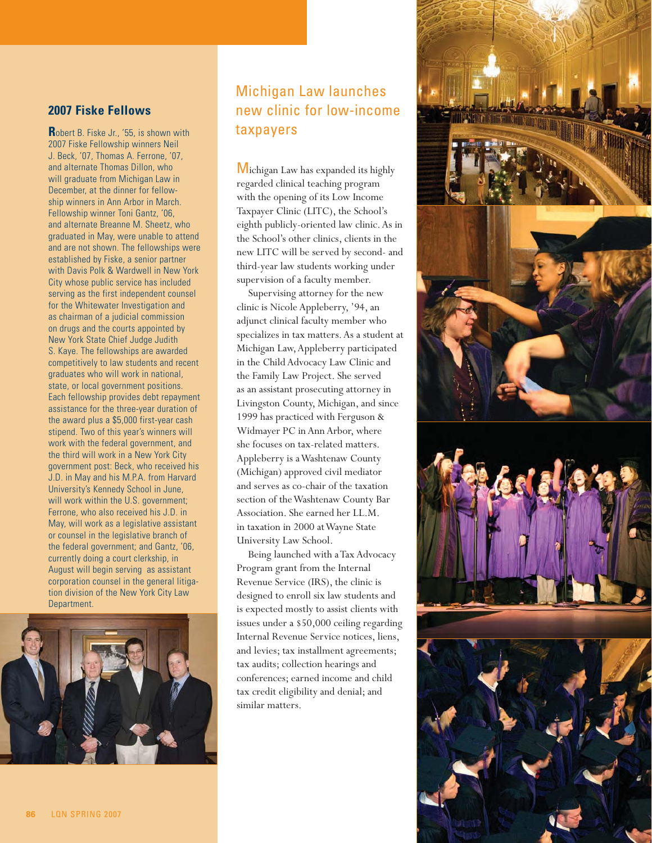#### **2007 Fiske Fellows**

**R**obert B. Fiske Jr., '55, is shown with 2007 Fiske Fellowship winners Neil J. Beck, '07, Thomas A. Ferrone, '07, and alternate Thomas Dillon, who will graduate from Michigan Law in December, at the dinner for fellowship winners in Ann Arbor in March. Fellowship winner Toni Gantz, '06, and alternate Breanne M. Sheetz, who graduated in May, were unable to attend and are not shown. The fellowships were established by Fiske, a senior partner with Davis Polk & Wardwell in New York City whose public service has included serving as the first independent counsel for the Whitewater Investigation and as chairman of a judicial commission on drugs and the courts appointed by New York State Chief Judge Judith S. Kaye. The fellowships are awarded competitively to law students and recent graduates who will work in national, state, or local government positions. Each fellowship provides debt repayment assistance for the three-year duration of the award plus a \$5,000 first-year cash stipend. Two of this year's winners will work with the federal government, and the third will work in a New York City government post: Beck, who received his J.D. in May and his M.P.A. from Harvard University's Kennedy School in June, will work within the U.S. government; Ferrone, who also received his J.D. in May, will work as a legislative assistant or counsel in the legislative branch of the federal government; and Gantz, '06, currently doing a court clerkship, in August will begin serving as assistant corporation counsel in the general litigation division of the New York City Law Department.



# Michigan Law launches new clinic for low-income taxpayers

Michigan Law has expanded its highly regarded clinical teaching program with the opening of its Low Income Taxpayer Clinic (LITC), the School's eighth publicly-oriented law clinic. As in the School's other clinics, clients in the new LITC will be served by second- and third-year law students working under supervision of a faculty member.

Supervising attorney for the new clinic is Nicole Appleberry, '94, an adjunct clinical faculty member who specializes in tax matters. As a student at Michigan Law, Appleberry participated in the Child Advocacy Law Clinic and the Family Law Project. She served as an assistant prosecuting attorney in Livingston County, Michigan, and since 1999 has practiced with Ferguson & Widmayer PC in Ann Arbor, where she focuses on tax-related matters. Appleberry is a Washtenaw County (Michigan) approved civil mediator and serves as co-chair of the taxation section of the Washtenaw County Bar Association. She earned her LL.M. in taxation in 2000 at Wayne State University Law School.

Being launched with a Tax Advocacy Program grant from the Internal Revenue Service (IRS), the clinic is designed to enroll six law students and is expected mostly to assist clients with issues under a \$50,000 ceiling regarding Internal Revenue Service notices, liens, and levies; tax installment agreements; tax audits; collection hearings and conferences; earned income and child tax credit eligibility and denial; and similar matters.